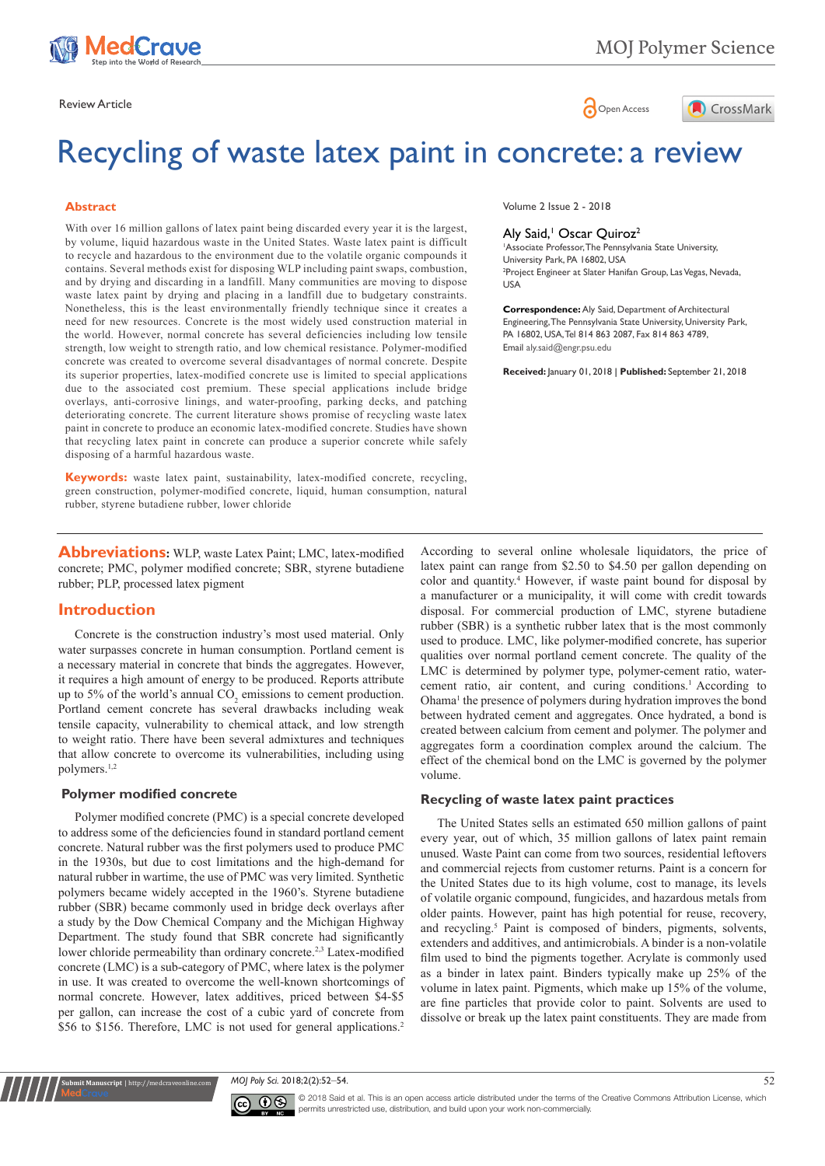

Review Article **Contracts** Contracts and Contracts Contracts Contracts Contracts Contracts Contracts Contracts Contracts Contracts Contracts Contracts Contracts Contracts Contracts Contracts Contracts Contracts Contracts C



# Recycling of waste latex paint in concrete: a review

#### **Abstract**

With over 16 million gallons of latex paint being discarded every year it is the largest, by volume, liquid hazardous waste in the United States. Waste latex paint is difficult to recycle and hazardous to the environment due to the volatile organic compounds it contains. Several methods exist for disposing WLP including paint swaps, combustion, and by drying and discarding in a landfill. Many communities are moving to dispose waste latex paint by drying and placing in a landfill due to budgetary constraints. Nonetheless, this is the least environmentally friendly technique since it creates a need for new resources. Concrete is the most widely used construction material in the world. However, normal concrete has several deficiencies including low tensile strength, low weight to strength ratio, and low chemical resistance. Polymer-modified concrete was created to overcome several disadvantages of normal concrete. Despite its superior properties, latex-modified concrete use is limited to special applications due to the associated cost premium. These special applications include bridge overlays, anti-corrosive linings, and water-proofing, parking decks, and patching deteriorating concrete. The current literature shows promise of recycling waste latex paint in concrete to produce an economic latex-modified concrete. Studies have shown that recycling latex paint in concrete can produce a superior concrete while safely disposing of a harmful hazardous waste.

**Keywords:** waste latex paint, sustainability, latex-modified concrete, recycling, green construction, polymer-modified concrete, liquid, human consumption, natural rubber, styrene butadiene rubber, lower chloride

**Abbreviations:** WLP, waste Latex Paint; LMC, latex-modified concrete; PMC, polymer modified concrete; SBR, styrene butadiene rubber; PLP, processed latex pigment

## **Introduction**

Concrete is the construction industry's most used material. Only water surpasses concrete in human consumption. Portland cement is a necessary material in concrete that binds the aggregates. However, it requires a high amount of energy to be produced. Reports attribute up to 5% of the world's annual  $CO_2$  emissions to cement production. Portland cement concrete has several drawbacks including weak tensile capacity, vulnerability to chemical attack, and low strength to weight ratio. There have been several admixtures and techniques that allow concrete to overcome its vulnerabilities, including using polymers.1,2

#### **Polymer modified concrete**

**it Manuscript** | http://medcraveonline.

Polymer modified concrete (PMC) is a special concrete developed to address some of the deficiencies found in standard portland cement concrete. Natural rubber was the first polymers used to produce PMC in the 1930s, but due to cost limitations and the high-demand for natural rubber in wartime, the use of PMC was very limited. Synthetic polymers became widely accepted in the 1960's. Styrene butadiene rubber (SBR) became commonly used in bridge deck overlays after a study by the Dow Chemical Company and the Michigan Highway Department. The study found that SBR concrete had significantly lower chloride permeability than ordinary concrete.<sup>2,3</sup> Latex-modified concrete (LMC) is a sub-category of PMC, where latex is the polymer in use. It was created to overcome the well-known shortcomings of normal concrete. However, latex additives, priced between \$4-\$5 per gallon, can increase the cost of a cubic yard of concrete from \$56 to \$156. Therefore, LMC is not used for general applications.<sup>2</sup>

Volume 2 Issue 2 - 2018

#### Aly Said,<sup>1</sup> Oscar Quiroz<sup>2</sup>

1 Associate Professor, The Pennsylvania State University, University Park, PA 16802, USA 2 Project Engineer at Slater Hanifan Group, Las Vegas, Nevada, USA

**Correspondence:** Aly Said, Department of Architectural Engineering, The Pennsylvania State University, University Park, PA 16802, USA, Tel 814 863 2087, Fax 814 863 4789, Email aly.said@engr.psu.edu

**Received:** January 01, 2018 | **Published:** September 21, 2018

According to several online wholesale liquidators, the price of latex paint can range from \$2.50 to \$4.50 per gallon depending on color and quantity.4 However, if waste paint bound for disposal by a manufacturer or a municipality, it will come with credit towards disposal. For commercial production of LMC, styrene butadiene rubber (SBR) is a synthetic rubber latex that is the most commonly used to produce. LMC, like polymer-modified concrete, has superior qualities over normal portland cement concrete. The quality of the LMC is determined by polymer type, polymer-cement ratio, watercement ratio, air content, and curing conditions.<sup>1</sup> According to Ohama<sup>1</sup> the presence of polymers during hydration improves the bond between hydrated cement and aggregates. Once hydrated, a bond is created between calcium from cement and polymer. The polymer and aggregates form a coordination complex around the calcium. The effect of the chemical bond on the LMC is governed by the polymer volume.

### **Recycling of waste latex paint practices**

The United States sells an estimated 650 million gallons of paint every year, out of which, 35 million gallons of latex paint remain unused. Waste Paint can come from two sources, residential leftovers and commercial rejects from customer returns. Paint is a concern for the United States due to its high volume, cost to manage, its levels of volatile organic compound, fungicides, and hazardous metals from older paints. However, paint has high potential for reuse, recovery, and recycling.5 Paint is composed of binders, pigments, solvents, extenders and additives, and antimicrobials. A binder is a non-volatile film used to bind the pigments together. Acrylate is commonly used as a binder in latex paint. Binders typically make up 25% of the volume in latex paint. Pigments, which make up 15% of the volume, are fine particles that provide color to paint. Solvents are used to dissolve or break up the latex paint constituents. They are made from

*MOJ Poly Sci.* 2018;2(2):52‒54. 52



© 2018 Said et al. This is an open access article distributed under the terms of the [Creative Commons Attribution License](https://creativecommons.org/licenses/by-nc/4.0/), which permits unrestricted use, distribution, and build upon your work non-commercially.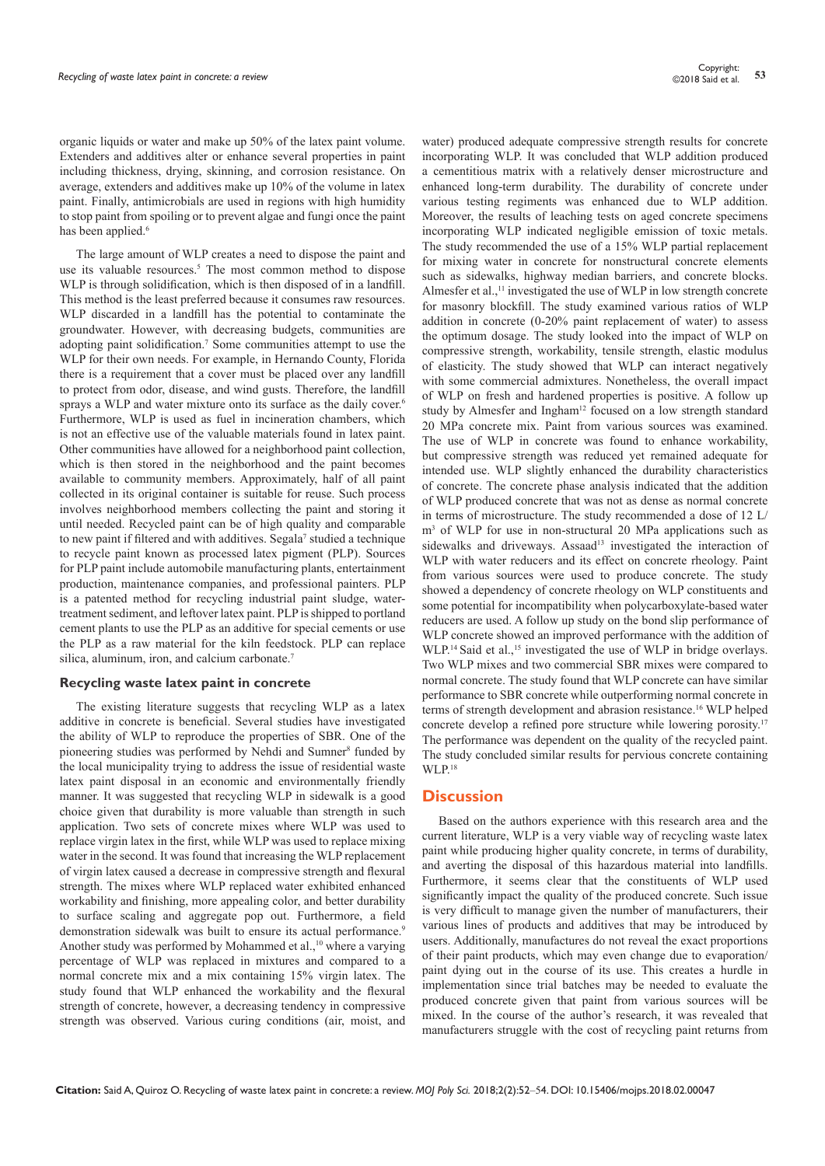organic liquids or water and make up 50% of the latex paint volume. Extenders and additives alter or enhance several properties in paint including thickness, drying, skinning, and corrosion resistance. On average, extenders and additives make up 10% of the volume in latex paint. Finally, antimicrobials are used in regions with high humidity to stop paint from spoiling or to prevent algae and fungi once the paint has been applied.<sup>6</sup>

The large amount of WLP creates a need to dispose the paint and use its valuable resources.<sup>5</sup> The most common method to dispose WLP is through solidification, which is then disposed of in a landfill. This method is the least preferred because it consumes raw resources. WLP discarded in a landfill has the potential to contaminate the groundwater. However, with decreasing budgets, communities are adopting paint solidification.<sup>7</sup> Some communities attempt to use the WLP for their own needs. For example, in Hernando County, Florida there is a requirement that a cover must be placed over any landfill to protect from odor, disease, and wind gusts. Therefore, the landfill sprays a WLP and water mixture onto its surface as the daily cover.<sup>6</sup> Furthermore, WLP is used as fuel in incineration chambers, which is not an effective use of the valuable materials found in latex paint. Other communities have allowed for a neighborhood paint collection, which is then stored in the neighborhood and the paint becomes available to community members. Approximately, half of all paint collected in its original container is suitable for reuse. Such process involves neighborhood members collecting the paint and storing it until needed. Recycled paint can be of high quality and comparable to new paint if filtered and with additives. Segala<sup>7</sup> studied a technique to recycle paint known as processed latex pigment (PLP). Sources for PLP paint include automobile manufacturing plants, entertainment production, maintenance companies, and professional painters. PLP is a patented method for recycling industrial paint sludge, watertreatment sediment, and leftover latex paint. PLP is shipped to portland cement plants to use the PLP as an additive for special cements or use the PLP as a raw material for the kiln feedstock. PLP can replace silica, aluminum, iron, and calcium carbonate.<sup>7</sup>

#### **Recycling waste latex paint in concrete**

The existing literature suggests that recycling WLP as a latex additive in concrete is beneficial. Several studies have investigated the ability of WLP to reproduce the properties of SBR. One of the pioneering studies was performed by Nehdi and Sumner<sup>8</sup> funded by the local municipality trying to address the issue of residential waste latex paint disposal in an economic and environmentally friendly manner. It was suggested that recycling WLP in sidewalk is a good choice given that durability is more valuable than strength in such application. Two sets of concrete mixes where WLP was used to replace virgin latex in the first, while WLP was used to replace mixing water in the second. It was found that increasing the WLP replacement of virgin latex caused a decrease in compressive strength and flexural strength. The mixes where WLP replaced water exhibited enhanced workability and finishing, more appealing color, and better durability to surface scaling and aggregate pop out. Furthermore, a field demonstration sidewalk was built to ensure its actual performance.<sup>9</sup> Another study was performed by Mohammed et al.,<sup>10</sup> where a varying percentage of WLP was replaced in mixtures and compared to a normal concrete mix and a mix containing 15% virgin latex. The study found that WLP enhanced the workability and the flexural strength of concrete, however, a decreasing tendency in compressive strength was observed. Various curing conditions (air, moist, and

water) produced adequate compressive strength results for concrete incorporating WLP. It was concluded that WLP addition produced a cementitious matrix with a relatively denser microstructure and enhanced long-term durability. The durability of concrete under various testing regiments was enhanced due to WLP addition. Moreover, the results of leaching tests on aged concrete specimens incorporating WLP indicated negligible emission of toxic metals. The study recommended the use of a 15% WLP partial replacement for mixing water in concrete for nonstructural concrete elements such as sidewalks, highway median barriers, and concrete blocks. Almesfer et al.,<sup>11</sup> investigated the use of WLP in low strength concrete for masonry blockfill. The study examined various ratios of WLP addition in concrete (0-20% paint replacement of water) to assess the optimum dosage. The study looked into the impact of WLP on compressive strength, workability, tensile strength, elastic modulus of elasticity. The study showed that WLP can interact negatively with some commercial admixtures. Nonetheless, the overall impact of WLP on fresh and hardened properties is positive. A follow up study by Almesfer and Ingham<sup>12</sup> focused on a low strength standard 20 MPa concrete mix. Paint from various sources was examined. The use of WLP in concrete was found to enhance workability, but compressive strength was reduced yet remained adequate for intended use. WLP slightly enhanced the durability characteristics of concrete. The concrete phase analysis indicated that the addition of WLP produced concrete that was not as dense as normal concrete in terms of microstructure. The study recommended a dose of 12 L/ m3 of WLP for use in non-structural 20 MPa applications such as sidewalks and driveways. Assaad<sup>13</sup> investigated the interaction of WLP with water reducers and its effect on concrete rheology. Paint from various sources were used to produce concrete. The study showed a dependency of concrete rheology on WLP constituents and some potential for incompatibility when polycarboxylate-based water reducers are used. A follow up study on the bond slip performance of WLP concrete showed an improved performance with the addition of WLP.<sup>14</sup> Said et al.,<sup>15</sup> investigated the use of WLP in bridge overlays. Two WLP mixes and two commercial SBR mixes were compared to normal concrete. The study found that WLP concrete can have similar performance to SBR concrete while outperforming normal concrete in terms of strength development and abrasion resistance.<sup>16</sup> WLP helped concrete develop a refined pore structure while lowering porosity.<sup>17</sup> The performance was dependent on the quality of the recycled paint. The study concluded similar results for pervious concrete containing  $WI.P<sup>18</sup>$ 

## **Discussion**

Based on the authors experience with this research area and the current literature, WLP is a very viable way of recycling waste latex paint while producing higher quality concrete, in terms of durability, and averting the disposal of this hazardous material into landfills. Furthermore, it seems clear that the constituents of WLP used significantly impact the quality of the produced concrete. Such issue is very difficult to manage given the number of manufacturers, their various lines of products and additives that may be introduced by users. Additionally, manufactures do not reveal the exact proportions of their paint products, which may even change due to evaporation/ paint dying out in the course of its use. This creates a hurdle in implementation since trial batches may be needed to evaluate the produced concrete given that paint from various sources will be mixed. In the course of the author's research, it was revealed that manufacturers struggle with the cost of recycling paint returns from